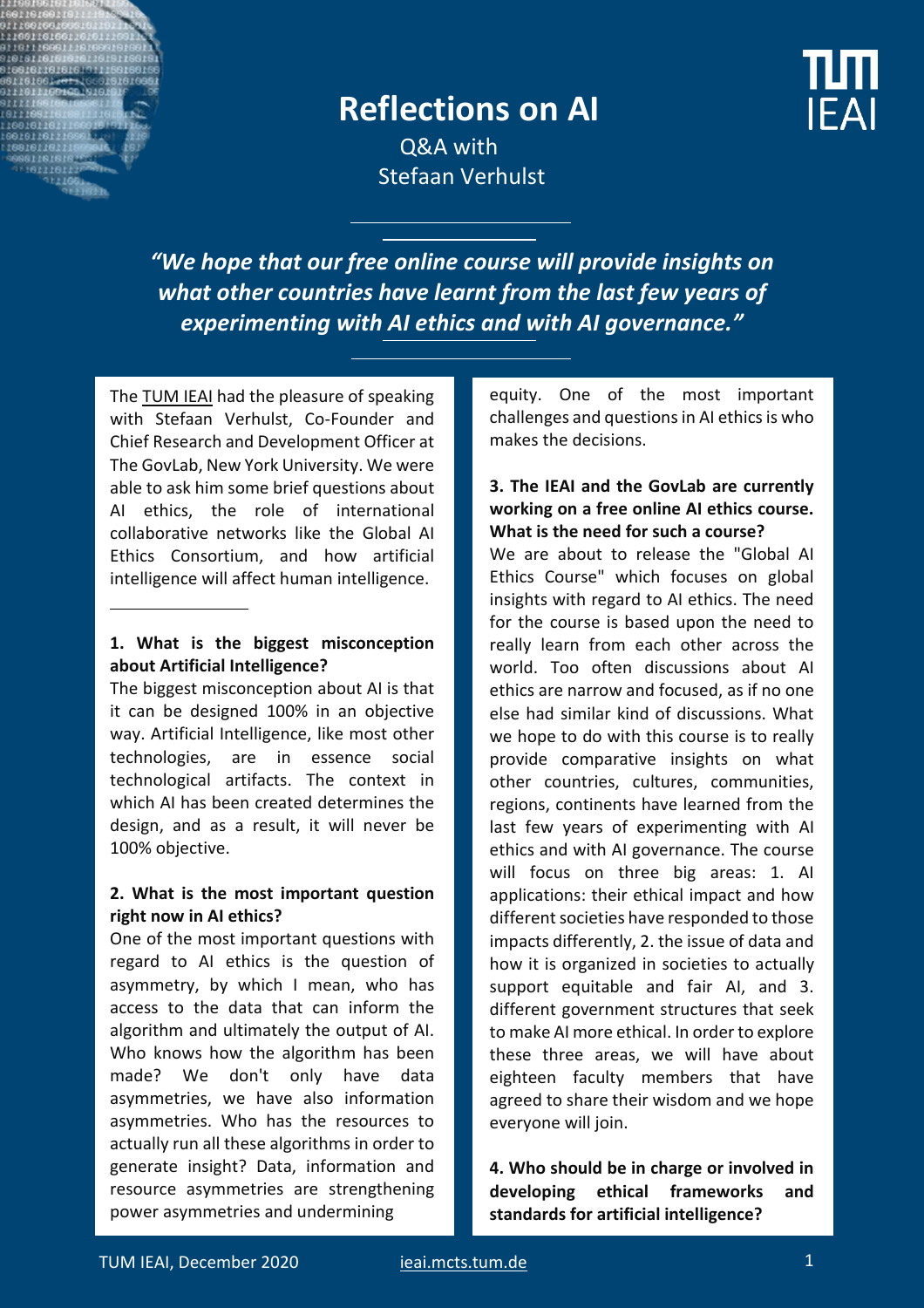# **Reflections on AI**

**IFAI** 

Q&A with Stefaan Verhulst

*"We hope that our free online course will provide insights on what other countries have learnt from the last few years of experimenting with AI ethics and with AI governance."*

The **TUM IEAI** had the pleasure of speaking with Stefaan Verhulst, Co-Founder and Chief Research and Development Officer at The GovLab, New York University. We were able to ask him some brief questions about AI ethics, the role of international collaborative networks like the Global AI Ethics Consortium, and how artificial intelligence will affect human intelligence.

#### **1. What is the biggest misconception about Artificial Intelligence?**

The biggest misconception about AI is that it can be designed 100% in an objective way. Artificial Intelligence, like most other technologies, are in essence social technological artifacts. The context in which AI has been created determines the design, and as a result, it will never be 100% objective.

### **2. What is the most important question right now in AI ethics?**

One of the most important questions with regard to AI ethics is the question of asymmetry, by which I mean, who has access to the data that can inform the algorithm and ultimately the output of AI. Who knows how the algorithm has been made? We don't only have data asymmetries, we have also information asymmetries. Who has the resources to actually run all these algorithms in order to generate insight? Data, information and resource asymmetries are strengthening power asymmetries and undermining

equity. One of the most important challenges and questions in AI ethics is who makes the decisions.

#### **3. The IEAI and the GovLab are currently working on a free online AI ethics course. What is the need for such a course?**

We are about to release the "Global AI Ethics Course" which focuses on global insights with regard to AI ethics. The need for the course is based upon the need to really learn from each other across the world. Too often discussions about AI ethics are narrow and focused, as if no one else had similar kind of discussions. What we hope to do with this course is to really provide comparative insights on what other countries, cultures, communities, regions, continents have learned from the last few years of experimenting with AI ethics and with AI governance. The course will focus on three big areas: 1. AI applications: their ethical impact and how different societies have responded to those impacts differently, 2. the issue of data and how it is organized in societies to actually support equitable and fair AI, and 3. different government structures that seek to make AI more ethical. In order to explore these three areas, we will have about eighteen faculty members that have agreed to share their wisdom and we hope everyone will join.

**4. Who should be in charge or involved in developing ethical frameworks and standards for artificial intelligence?**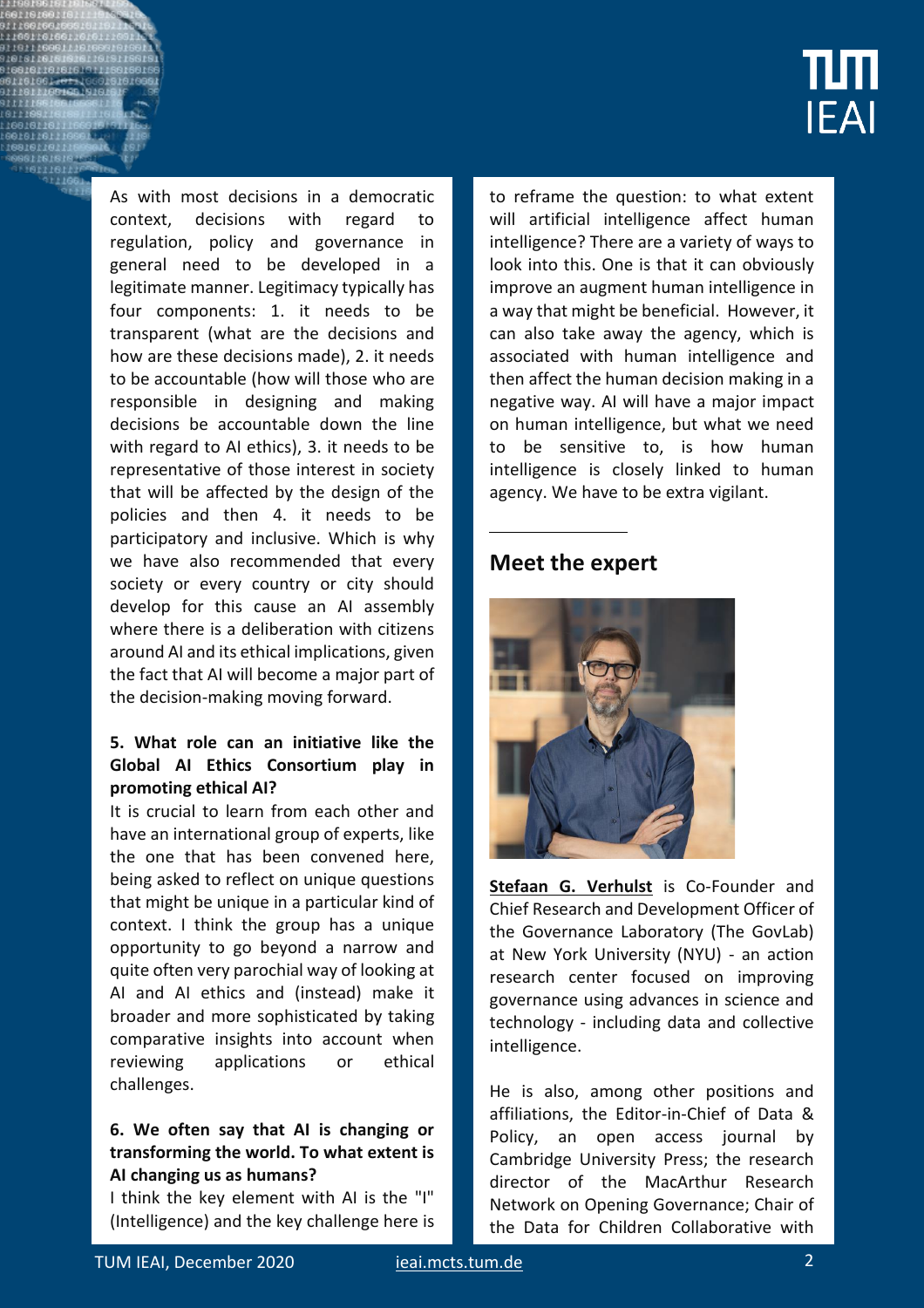

As with most decisions in a democratic context, decisions with regard to regulation, policy and governance in general need to be developed in a legitimate manner. Legitimacy typically has four components: 1. it needs to be transparent (what are the decisions and how are these decisions made), 2. it needs to be accountable (how will those who are responsible in designing and making decisions be accountable down the line with regard to AI ethics), 3. it needs to be representative of those interest in society that will be affected by the design of the policies and then 4. it needs to be participatory and inclusive. Which is why we have also recommended that every society or every country or city should develop for this cause an AI assembly where there is a deliberation with citizens around AI and its ethical implications, given the fact that AI will become a major part of the decision-making moving forward.

#### **5. What role can an initiative like the Global AI Ethics Consortium play in promoting ethical AI?**

It is crucial to learn from each other and have an international group of experts, like the one that has been convened here, being asked to reflect on unique questions that might be unique in a particular kind of context. I think the group has a unique opportunity to go beyond a narrow and quite often very parochial way of looking at AI and AI ethics and (instead) make it broader and more sophisticated by taking comparative insights into account when reviewing applications or ethical challenges.

#### **6. We often say that AI is changing or transforming the world. To what extent is AI changing us as humans?**

I think the key element with AI is the "I" (Intelligence) and the key challenge here is to reframe the question: to what extent will artificial intelligence affect human intelligence? There are a variety of ways to look into this. One is that it can obviously improve an augment human intelligence in a way that might be beneficial. However, it can also take away the agency, which is associated with human intelligence and then affect the human decision making in a negative way. AI will have a major impact on human intelligence, but what we need to be sensitive to, is how human intelligence is closely linked to human agency. We have to be extra vigilant.

## **Meet the expert**



**Stefaan G. Verhulst** is Co-Founder and Chief Research and Development Officer of the Governance Laboratory (The GovLab) at New York University (NYU) - an action research center focused on improving governance using advances in science and technology - including data and collective intelligence.

He is also, among other positions and affiliations, the Editor-in-Chief of Data & Policy, an open access journal by Cambridge University Press; the research director of the MacArthur Research Network on Opening Governance; Chair of the Data for Children Collaborative with